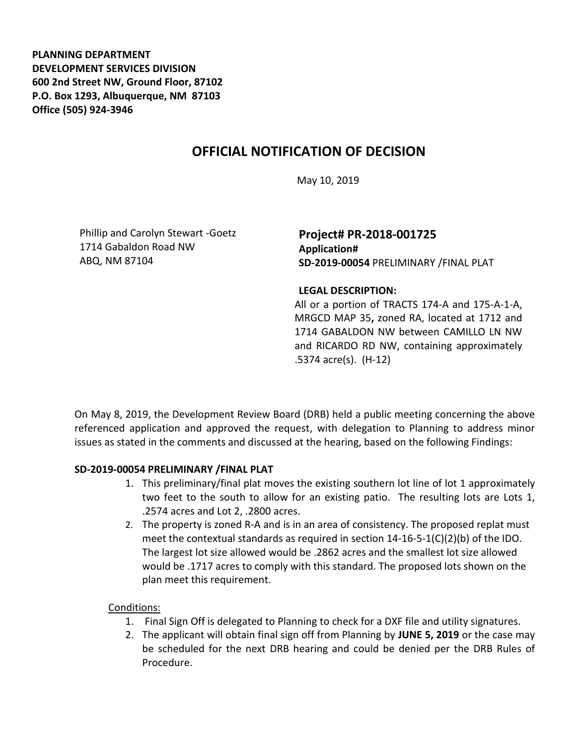**PLANNING DEPARTMENT DEVELOPMENT SERVICES DIVISION 600 2nd Street NW, Ground Floor, 87102 P.O. Box 1293, Albuquerque, NM 87103 Office (505) 924-3946** 

# **OFFICIAL NOTIFICATION OF DECISION**

May 10, 2019

Phillip and Carolyn Stewart -Goetz 1714 Gabaldon Road NW ABQ, NM 87104

## **Project# PR-2018-001725 Application# SD-2019-00054** PRELIMINARY /FINAL PLAT

#### **LEGAL DESCRIPTION:**

All or a portion of TRACTS 174-A and 175-A-1-A, MRGCD MAP 35**,** zoned RA, located at 1712 and 1714 GABALDON NW between CAMILLO LN NW and RICARDO RD NW, containing approximately .5374 acre(s). (H-12)

On May 8, 2019, the Development Review Board (DRB) held a public meeting concerning the above referenced application and approved the request, with delegation to Planning to address minor issues as stated in the comments and discussed at the hearing, based on the following Findings:

## **SD-2019-00054 PRELIMINARY /FINAL PLAT**

- 1. This preliminary/final plat moves the existing southern lot line of lot 1 approximately two feet to the south to allow for an existing patio. The resulting lots are Lots 1, .2574 acres and Lot 2, .2800 acres.
- 2. The property is zoned R-A and is in an area of consistency. The proposed replat must meet the contextual standards as required in section  $14-16-5-1(C)(2)(b)$  of the IDO. The largest lot size allowed would be .2862 acres and the smallest lot size allowed would be .1717 acres to comply with this standard. The proposed lots shown on the plan meet this requirement.

## Conditions:

- 1. Final Sign Off is delegated to Planning to check for a DXF file and utility signatures.
- 2. The applicant will obtain final sign off from Planning by **JUNE 5, 2019** or the case may be scheduled for the next DRB hearing and could be denied per the DRB Rules of Procedure.